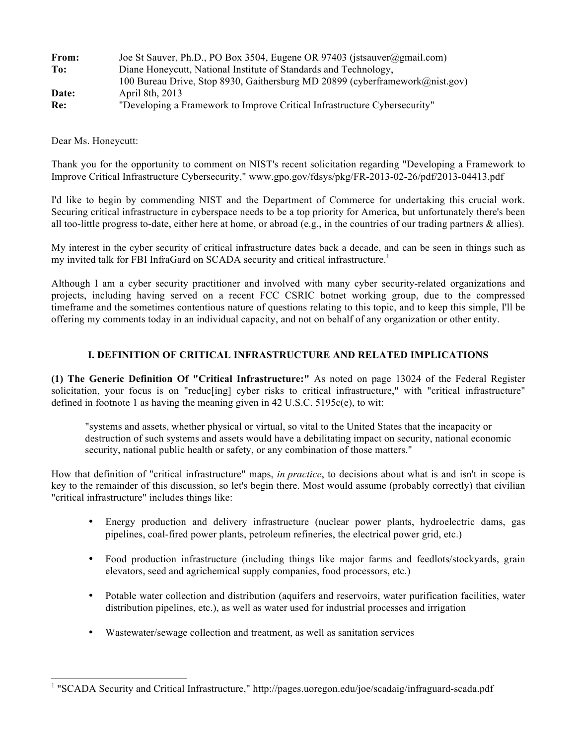| From: | Joe St Sauver, Ph.D., PO Box 3504, Eugene OR 97403 (jstsauver@gmail.com)     |
|-------|------------------------------------------------------------------------------|
| To:   | Diane Honeycutt, National Institute of Standards and Technology,             |
|       | 100 Bureau Drive, Stop 8930, Gaithersburg MD 20899 (cyberframework@nist.gov) |
| Date: | April 8th, 2013                                                              |
| Re:   | "Developing a Framework to Improve Critical Infrastructure Cybersecurity"    |

Dear Ms. Honeycutt:

 $\overline{a}$ 

 Thank you for the opportunity to comment on NIST's recent solicitation regarding "Developing a Framework to Improve Critical Infrastructure Cybersecurity," www.gpo.gov/fdsys/pkg/FR-2013-02-26/pdf/2013-04413.pdf

 I'd like to begin by commending NIST and the Department of Commerce for undertaking this crucial work. Securing critical infrastructure in cyberspace needs to be a top priority for America, but unfortunately there's been all too-little progress to-date, either here at home, or abroad (e.g., in the countries of our trading partners & allies).

 My interest in the cyber security of critical infrastructure dates back a decade, and can be seen in things such as my invited talk for FBI InfraGard on SCADA security and critical infrastructure.<sup>1</sup>

 Although I am a cyber security practitioner and involved with many cyber security-related organizations and projects, including having served on a recent FCC CSRIC botnet working group, due to the compressed timeframe and the sometimes contentious nature of questions relating to this topic, and to keep this simple, I'll be offering my comments today in an individual capacity, and not on behalf of any organization or other entity.

# **I. DEFINITION OF CRITICAL INFRASTRUCTURE AND RELATED IMPLICATIONS**

 **(1) The Generic Definition Of "Critical Infrastructure:"** As noted on page 13024 of the Federal Register solicitation, your focus is on "reduc[ing] cyber risks to critical infrastructure," with "critical infrastructure" defined in footnote 1 as having the meaning given in 42 U.S.C. 5195c(e), to wit:

 "systems and assets, whether physical or virtual, so vital to the United States that the incapacity or destruction of such systems and assets would have a debilitating impact on security, national economic security, national public health or safety, or any combination of those matters."

 How that definition of "critical infrastructure" maps, *in practice*, to decisions about what is and isn't in scope is key to the remainder of this discussion, so let's begin there. Most would assume (probably correctly) that civilian "critical infrastructure" includes things like:

- • Energy production and delivery infrastructure (nuclear power plants, hydroelectric dams, gas pipelines, coal-fired power plants, petroleum refineries, the electrical power grid, etc.)
- • Food production infrastructure (including things like major farms and feedlots/stockyards, grain elevators, seed and agrichemical supply companies, food processors, etc.)
- • Potable water collection and distribution (aquifers and reservoirs, water purification facilities, water distribution pipelines, etc.), as well as water used for industrial processes and irrigation
- • Wastewater/sewage collection and treatment, as well as sanitation services

<sup>&</sup>lt;sup>1</sup> "SCADA Security and Critical Infrastructure," http://pages.uoregon.edu/joe/scadaig/infraguard-scada.pdf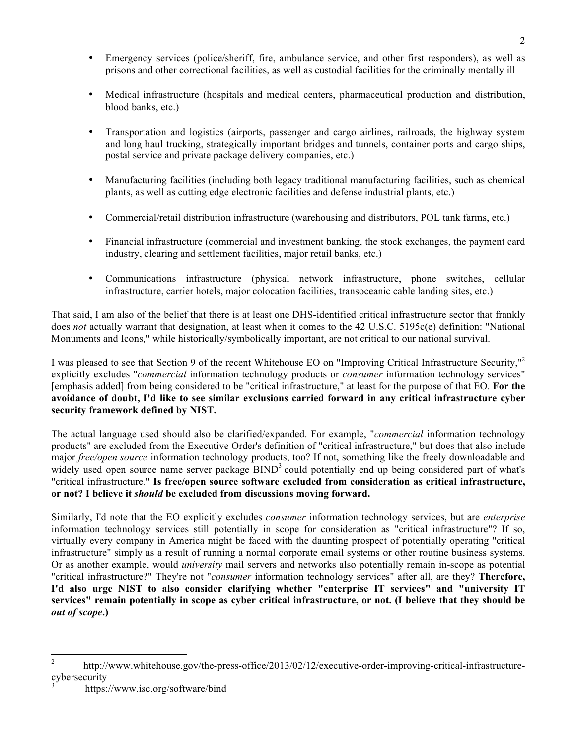- • Emergency services (police/sheriff, fire, ambulance service, and other first responders), as well as prisons and other correctional facilities, as well as custodial facilities for the criminally mentally ill
- • Medical infrastructure (hospitals and medical centers, pharmaceutical production and distribution, blood banks, etc.)
- • Transportation and logistics (airports, passenger and cargo airlines, railroads, the highway system and long haul trucking, strategically important bridges and tunnels, container ports and cargo ships, postal service and private package delivery companies, etc.)
- • Manufacturing facilities (including both legacy traditional manufacturing facilities, such as chemical plants, as well as cutting edge electronic facilities and defense industrial plants, etc.)
- • Commercial/retail distribution infrastructure (warehousing and distributors, POL tank farms, etc.)
- • Financial infrastructure (commercial and investment banking, the stock exchanges, the payment card industry, clearing and settlement facilities, major retail banks, etc.)
- • Communications infrastructure (physical network infrastructure, phone switches, cellular infrastructure, carrier hotels, major colocation facilities, transoceanic cable landing sites, etc.)

 That said, I am also of the belief that there is at least one DHS-identified critical infrastructure sector that frankly does *not* actually warrant that designation, at least when it comes to the 42 U.S.C. 5195c(e) definition: "National Monuments and Icons," while historically/symbolically important, are not critical to our national survival.

I was pleased to see that Section 9 of the recent Whitehouse EO on "Improving Critical Infrastructure Security,"<sup>2</sup> explicitly excludes "*commercial* information technology products or *consumer* information technology services" [emphasis added] from being considered to be "critical infrastructure," at least for the purpose of that EO. **For the avoidance of doubt, I'd like to see similar exclusions carried forward in any critical infrastructure cyber security framework defined by NIST.** 

 The actual language used should also be clarified/expanded. For example, "*commercial* information technology products" are excluded from the Executive Order's definition of "critical infrastructure," but does that also include major *free/open source* information technology products, too? If not, something like the freely downloadable and widely used open source name server package BIND<sup>3</sup> could potentially end up being considered part of what's  "critical infrastructure." **Is free/open source software excluded from consideration as critical infrastructure, or not? I believe it** *should* **be excluded from discussions moving forward.** 

 Similarly, I'd note that the EO explicitly excludes *consumer* information technology services, but are *enterprise*  information technology services still potentially in scope for consideration as "critical infrastructure"? If so, virtually every company in America might be faced with the daunting prospect of potentially operating "critical infrastructure" simply as a result of running a normal corporate email systems or other routine business systems. Or as another example, would *university* mail servers and networks also potentially remain in-scope as potential "critical infrastructure?" They're not "*consumer* information technology services" after all, are they? **Therefore, I'd also urge NIST to also consider clarifying whether "enterprise IT services" and "university IT services" remain potentially in scope as cyber critical infrastructure, or not. (I believe that they should be**   *out of scope***.)** 

 $\overline{2}$ http://www.whitehouse.gov/the-press-office/2013/02/12/executive-order-improving-critical-infrastructurecybersecurity

https://www.isc.org/software/bind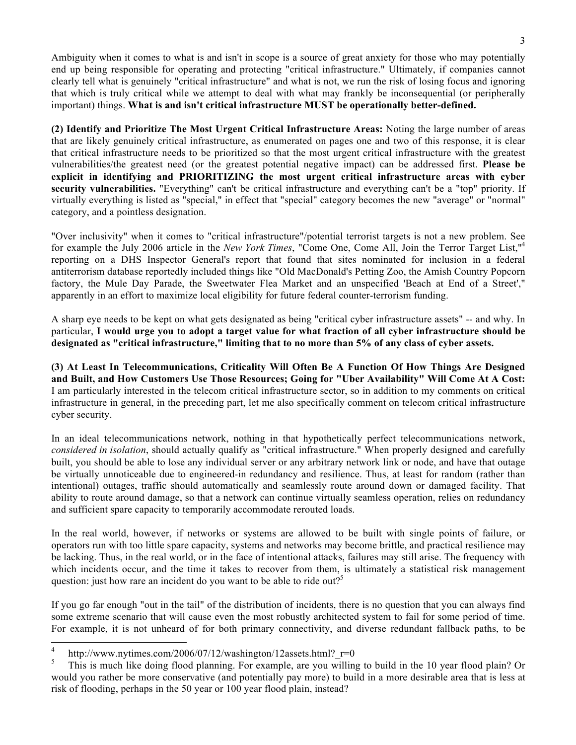Ambiguity when it comes to what is and isn't in scope is a source of great anxiety for those who may potentially end up being responsible for operating and protecting "critical infrastructure." Ultimately, if companies cannot clearly tell what is genuinely "critical infrastructure" and what is not, we run the risk of losing focus and ignoring that which is truly critical while we attempt to deal with what may frankly be inconsequential (or peripherally  important) things. **What is and isn't critical infrastructure MUST be operationally better-defined.** 

 **(2) Identify and Prioritize The Most Urgent Critical Infrastructure Areas:** Noting the large number of areas that are likely genuinely critical infrastructure, as enumerated on pages one and two of this response, it is clear that critical infrastructure needs to be prioritized so that the most urgent critical infrastructure with the greatest vulnerabilities/the greatest need (or the greatest potential negative impact) can be addressed first. **Please be explicit in identifying and PRIORITIZING the most urgent critical infrastructure areas with cyber security vulnerabilities.** "Everything" can't be critical infrastructure and everything can't be a "top" priority. If virtually everything is listed as "special," in effect that "special" category becomes the new "average" or "normal" category, and a pointless designation.

 "Over inclusivity" when it comes to "critical infrastructure"/potential terrorist targets is not a new problem. See for example the July 2006 article in the *New York Times*, "Come One, Come All, Join the Terror Target List,"4 reporting on a DHS Inspector General's report that found that sites nominated for inclusion in a federal antiterrorism database reportedly included things like "Old MacDonald's Petting Zoo, the Amish Country Popcorn factory, the Mule Day Parade, the Sweetwater Flea Market and an unspecified 'Beach at End of a Street'," apparently in an effort to maximize local eligibility for future federal counter-terrorism funding.

 A sharp eye needs to be kept on what gets designated as being "critical cyber infrastructure assets" -- and why. In  particular, **I would urge you to adopt a target value for what fraction of all cyber infrastructure should be designated as "critical infrastructure," limiting that to no more than 5% of any class of cyber assets.** 

 **(3) At Least In Telecommunications, Criticality Will Often Be A Function Of How Things Are Designed and Built, and How Customers Use Those Resources; Going for "Uber Availability" Will Come At A Cost:**  I am particularly interested in the telecom critical infrastructure sector, so in addition to my comments on critical infrastructure in general, in the preceding part, let me also specifically comment on telecom critical infrastructure cyber security.

 In an ideal telecommunications network, nothing in that hypothetically perfect telecommunications network, *considered in isolation*, should actually qualify as "critical infrastructure." When properly designed and carefully built, you should be able to lose any individual server or any arbitrary network link or node, and have that outage be virtually unnoticeable due to engineered-in redundancy and resilience. Thus, at least for random (rather than intentional) outages, traffic should automatically and seamlessly route around down or damaged facility. That ability to route around damage, so that a network can continue virtually seamless operation, relies on redundancy and sufficient spare capacity to temporarily accommodate rerouted loads.

 In the real world, however, if networks or systems are allowed to be built with single points of failure, or operators run with too little spare capacity, systems and networks may become brittle, and practical resilience may be lacking. Thus, in the real world, or in the face of intentional attacks, failures may still arise. The frequency with which incidents occur, and the time it takes to recover from them, is ultimately a statistical risk management question: just how rare an incident do you want to be able to ride out?<sup>5</sup>

 If you go far enough "out in the tail" of the distribution of incidents, there is no question that you can always find some extreme scenario that will cause even the most robustly architected system to fail for some period of time. For example, it is not unheard of for both primary connectivity, and diverse redundant fallback paths, to be

http://www.nytimes.com/2006/07/12/washington/12assets.html? $r=0$ 

<sup>5</sup>  would you rather be more conservative (and potentially pay more) to build in a more desirable area that is less at risk of flooding, perhaps in the 50 year or 100 year flood plain, instead? 5 This is much like doing flood planning. For example, are you willing to build in the 10 year flood plain? Or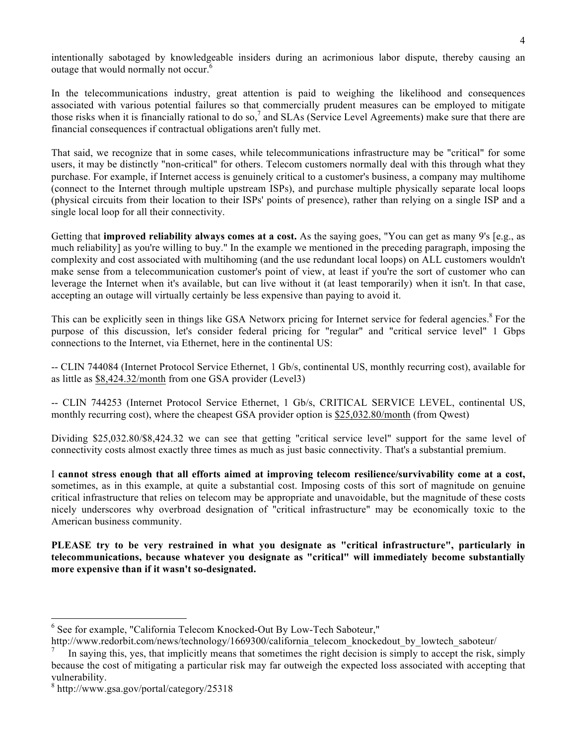intentionally sabotaged by knowledgeable insiders during an acrimonious labor dispute, thereby causing an outage that would normally not occur.<sup>6</sup>

 In the telecommunications industry, great attention is paid to weighing the likelihood and consequences associated with various potential failures so that commercially prudent measures can be employed to mitigate those risks when it is financially rational to do so,<sup>7</sup> and SLAs (Service Level Agreements) make sure that there are financial consequences if contractual obligations aren't fully met.

 That said, we recognize that in some cases, while telecommunications infrastructure may be "critical" for some users, it may be distinctly "non-critical" for others. Telecom customers normally deal with this through what they purchase. For example, if Internet access is genuinely critical to a customer's business, a company may multihome (connect to the Internet through multiple upstream ISPs), and purchase multiple physically separate local loops (physical circuits from their location to their ISPs' points of presence), rather than relying on a single ISP and a single local loop for all their connectivity.

 Getting that **improved reliability always comes at a cost.** As the saying goes, "You can get as many 9's [e.g., as much reliability] as you're willing to buy." In the example we mentioned in the preceding paragraph, imposing the complexity and cost associated with multihoming (and the use redundant local loops) on ALL customers wouldn't make sense from a telecommunication customer's point of view, at least if you're the sort of customer who can leverage the Internet when it's available, but can live without it (at least temporarily) when it isn't. In that case, accepting an outage will virtually certainly be less expensive than paying to avoid it.

This can be explicitly seen in things like GSA Networx pricing for Internet service for federal agencies.<sup>8</sup> For the purpose of this discussion, let's consider federal pricing for "regular" and "critical service level" 1 Gbps connections to the Internet, via Ethernet, here in the continental US:

 -- CLIN 744084 (Internet Protocol Service Ethernet, 1 Gb/s, continental US, monthly recurring cost), available for as little as \$8,424.32/month from one GSA provider (Level3)

 -- CLIN 744253 (Internet Protocol Service Ethernet, 1 Gb/s, CRITICAL SERVICE LEVEL, continental US, monthly recurring cost), where the cheapest GSA provider option is \$25,032.80/month (from Qwest)

 Dividing \$25,032.80/\$8,424.32 we can see that getting "critical service level" support for the same level of connectivity costs almost exactly three times as much as just basic connectivity. That's a substantial premium.

 I **cannot stress enough that all efforts aimed at improving telecom resilience/survivability come at a cost,**  sometimes, as in this example, at quite a substantial cost. Imposing costs of this sort of magnitude on genuine critical infrastructure that relies on telecom may be appropriate and unavoidable, but the magnitude of these costs nicely underscores why overbroad designation of "critical infrastructure" may be economically toxic to the American business community.

PLEASE try to be very restrained in what you designate as "critical infrastructure", particularly in  **telecommunications, because whatever you designate as "critical" will immediately become substantially more expensive than if it wasn't so-designated.** 

<sup>&</sup>lt;sup>6</sup> See for example, "California Telecom Knocked-Out By Low-Tech Saboteur,"

http://www.redorbit.com/news/technology/1669300/california telecom knockedout by lowtech saboteur/

 because the cost of mitigating a particular risk may far outweigh the expected loss associated with accepting that In saying this, yes, that implicitly means that sometimes the right decision is simply to accept the risk, simply vulnerability. 7

 $8 \text{ http://www.gsa.gov/portal/category/25318})$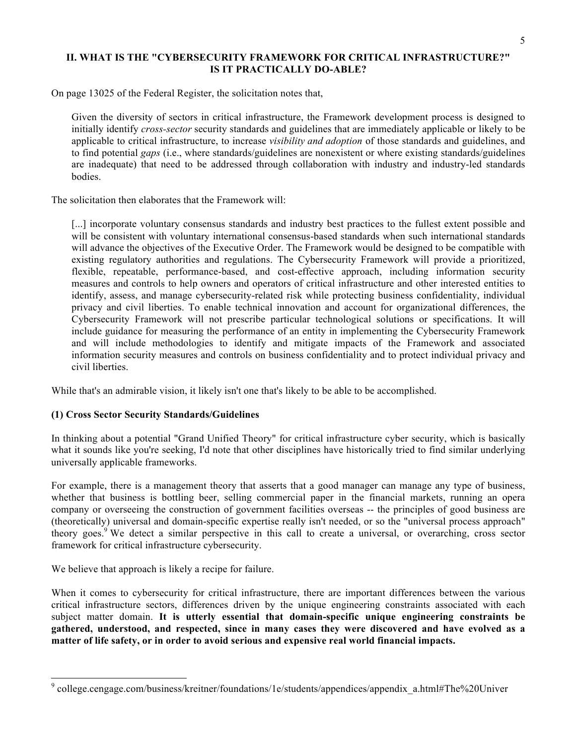## **II. WHAT IS THE "CYBERSECURITY FRAMEWORK FOR CRITICAL INFRASTRUCTURE?" IS IT PRACTICALLY DO-ABLE?**

On page 13025 of the Federal Register, the solicitation notes that,

 Given the diversity of sectors in critical infrastructure, the Framework development process is designed to initially identify *cross-sector* security standards and guidelines that are immediately applicable or likely to be applicable to critical infrastructure, to increase *visibility and adoption* of those standards and guidelines, and to find potential *gaps* (i.e., where standards/guidelines are nonexistent or where existing standards/guidelines are inadequate) that need to be addressed through collaboration with industry and industry-led standards bodies.

The solicitation then elaborates that the Framework will:

[...] incorporate voluntary consensus standards and industry best practices to the fullest extent possible and will be consistent with voluntary international consensus-based standards when such international standards will advance the objectives of the Executive Order. The Framework would be designed to be compatible with existing regulatory authorities and regulations. The Cybersecurity Framework will provide a prioritized, flexible, repeatable, performance-based, and cost-effective approach, including information security measures and controls to help owners and operators of critical infrastructure and other interested entities to identify, assess, and manage cybersecurity-related risk while protecting business confidentiality, individual privacy and civil liberties. To enable technical innovation and account for organizational differences, the Cybersecurity Framework will not prescribe particular technological solutions or specifications. It will include guidance for measuring the performance of an entity in implementing the Cybersecurity Framework and will include methodologies to identify and mitigate impacts of the Framework and associated information security measures and controls on business confidentiality and to protect individual privacy and civil liberties.

While that's an admirable vision, it likely isn't one that's likely to be able to be accomplished.

#### **(1) Cross Sector Security Standards/Guidelines**

 In thinking about a potential "Grand Unified Theory" for critical infrastructure cyber security, which is basically what it sounds like you're seeking, I'd note that other disciplines have historically tried to find similar underlying universally applicable frameworks.

 For example, there is a management theory that asserts that a good manager can manage any type of business, whether that business is bottling beer, selling commercial paper in the financial markets, running an opera company or overseeing the construction of government facilities overseas -- the principles of good business are (theoretically) universal and domain-specific expertise really isn't needed, or so the "universal process approach" theory goes.<sup>9</sup> We detect a similar perspective in this call to create a universal, or overarching, cross sector framework for critical infrastructure cybersecurity.

We believe that approach is likely a recipe for failure.

 $\overline{a}$ 

 When it comes to cybersecurity for critical infrastructure, there are important differences between the various critical infrastructure sectors, differences driven by the unique engineering constraints associated with each subject matter domain. **It is utterly essential that domain-specific unique engineering constraints be**  gathered, understood, and respected, since in many cases they were discovered and have evolved as a  **matter of life safety, or in order to avoid serious and expensive real world financial impacts.** 

<sup>&</sup>lt;sup>9</sup> college.cengage.com/business/kreitner/foundations/1e/students/appendices/appendix\_a.html#The%20Univer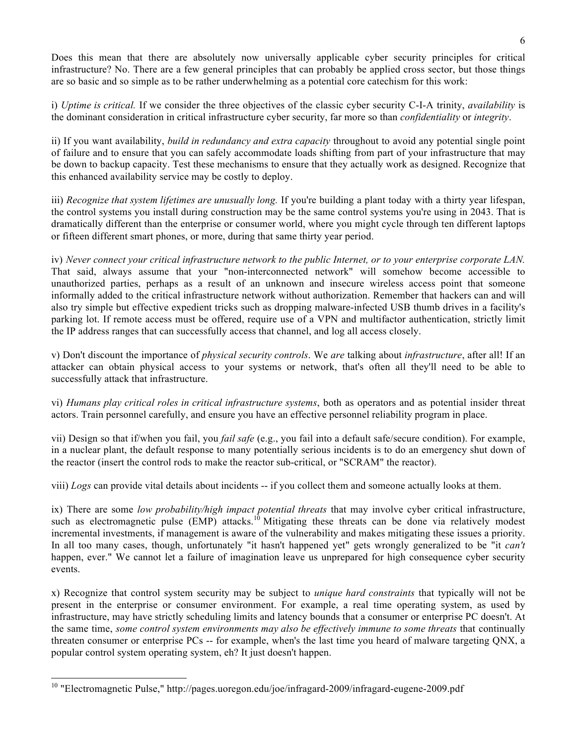Does this mean that there are absolutely now universally applicable cyber security principles for critical infrastructure? No. There are a few general principles that can probably be applied cross sector, but those things are so basic and so simple as to be rather underwhelming as a potential core catechism for this work:

 i) *Uptime is critical.* If we consider the three objectives of the classic cyber security C-I-A trinity, *availability* is the dominant consideration in critical infrastructure cyber security, far more so than *confidentiality* or *integrity*.

 ii) If you want availability, *build in redundancy and extra capacity* throughout to avoid any potential single point of failure and to ensure that you can safely accommodate loads shifting from part of your infrastructure that may be down to backup capacity. Test these mechanisms to ensure that they actually work as designed. Recognize that this enhanced availability service may be costly to deploy.

iii) *Recognize that system lifetimes are unusually long.* If you're building a plant today with a thirty year lifespan, the control systems you install during construction may be the same control systems you're using in 2043. That is dramatically different than the enterprise or consumer world, where you might cycle through ten different laptops or fifteen different smart phones, or more, during that same thirty year period.

 iv) *Never connect your critical infrastructure network to the public Internet, or to your enterprise corporate LAN.*  That said, always assume that your "non-interconnected network" will somehow become accessible to unauthorized parties, perhaps as a result of an unknown and insecure wireless access point that someone informally added to the critical infrastructure network without authorization. Remember that hackers can and will also try simple but effective expedient tricks such as dropping malware-infected USB thumb drives in a facility's parking lot. If remote access must be offered, require use of a VPN and multifactor authentication, strictly limit the IP address ranges that can successfully access that channel, and log all access closely.

 v) Don't discount the importance of *physical security controls*. We *are* talking about *infrastructure*, after all! If an attacker can obtain physical access to your systems or network, that's often all they'll need to be able to successfully attack that infrastructure.

 vi) *Humans play critical roles in critical infrastructure systems*, both as operators and as potential insider threat actors. Train personnel carefully, and ensure you have an effective personnel reliability program in place.

 vii) Design so that if/when you fail, you *fail safe* (e.g., you fail into a default safe/secure condition). For example, in a nuclear plant, the default response to many potentially serious incidents is to do an emergency shut down of the reactor (insert the control rods to make the reactor sub-critical, or "SCRAM" the reactor).

viii) *Logs* can provide vital details about incidents -- if you collect them and someone actually looks at them.

 ix) There are some *low probability/high impact potential threats* that may involve cyber critical infrastructure, such as electromagnetic pulse  $(EMP)$  attacks.<sup>10</sup> Mitigating these threats can be done via relatively modest incremental investments, if management is aware of the vulnerability and makes mitigating these issues a priority. In all too many cases, though, unfortunately "it hasn't happened yet" gets wrongly generalized to be "it *can't*  happen, ever." We cannot let a failure of imagination leave us unprepared for high consequence cyber security events.

 x) Recognize that control system security may be subject to *unique hard constraints* that typically will not be present in the enterprise or consumer environment. For example, a real time operating system, as used by infrastructure, may have strictly scheduling limits and latency bounds that a consumer or enterprise PC doesn't. At the same time, *some control system environments may also be effectively immune to some threats* that continually threaten consumer or enterprise PCs -- for example, when's the last time you heard of malware targeting QNX, a popular control system operating system, eh? It just doesn't happen.

 $10$  "Electromagnetic Pulse," http://pages.uoregon.edu/joe/infragard-2009/infragard-eugene-2009.pdf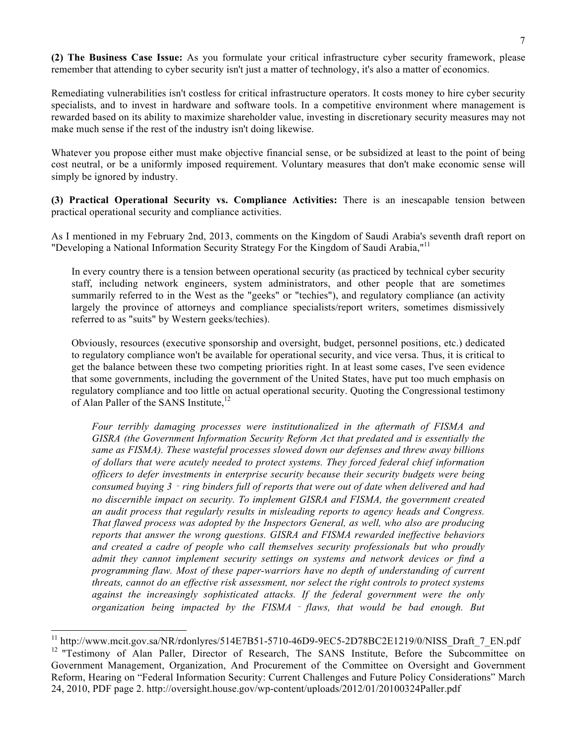**(2) The Business Case Issue:** As you formulate your critical infrastructure cyber security framework, please remember that attending to cyber security isn't just a matter of technology, it's also a matter of economics.

 Remediating vulnerabilities isn't costless for critical infrastructure operators. It costs money to hire cyber security specialists, and to invest in hardware and software tools. In a competitive environment where management is rewarded based on its ability to maximize shareholder value, investing in discretionary security measures may not make much sense if the rest of the industry isn't doing likewise.

 Whatever you propose either must make objective financial sense, or be subsidized at least to the point of being cost neutral, or be a uniformly imposed requirement. Voluntary measures that don't make economic sense will simply be ignored by industry.

 **(3) Practical Operational Security vs. Compliance Activities:** There is an inescapable tension between practical operational security and compliance activities.

 As I mentioned in my February 2nd, 2013, comments on the Kingdom of Saudi Arabia's seventh draft report on "Developing a National Information Security Strategy For the Kingdom of Saudi Arabia,"<sup>11</sup>

 In every country there is a tension between operational security (as practiced by technical cyber security staff, including network engineers, system administrators, and other people that are sometimes summarily referred to in the West as the "geeks" or "techies"), and regulatory compliance (an activity largely the province of attorneys and compliance specialists/report writers, sometimes dismissively referred to as "suits" by Western geeks/techies).

 Obviously, resources (executive sponsorship and oversight, budget, personnel positions, etc.) dedicated to regulatory compliance won't be available for operational security, and vice versa. Thus, it is critical to get the balance between these two competing priorities right. In at least some cases, I've seen evidence that some governments, including the government of the United States, have put too much emphasis on regulatory compliance and too little on actual operational security. Quoting the Congressional testimony of Alan Paller of the SANS Institute,<sup>12</sup>

 *Four terribly damaging processes were institutionalized in the aftermath of FISMA and GISRA (the Government Information Security Reform Act that predated and is essentially the same as FISMA). These wasteful processes slowed down our defenses and threw away billions of dollars that were acutely needed to protect systems. They forced federal chief information officers to defer investments in enterprise security because their security budgets were being consumed buying 3*‐*ring binders full of reports that were out of date when delivered and had no discernible impact on security. To implement GISRA and FISMA, the government created an audit process that regularly results in misleading reports to agency heads and Congress. That flawed process was adopted by the Inspectors General, as well, who also are producing reports that answer the wrong questions. GISRA and FISMA rewarded ineffective behaviors*  and created a cadre of people who call themselves security professionals but who proudly  *admit they cannot implement security settings on systems and network devices or find a programming flaw. Most of these paper-warriors have no depth of understanding of current threats, cannot do an effective risk assessment, nor select the right controls to protect systems*  against the increasingly sophisticated attacks. If the federal government were the only  *organization being impacted by the FISMA* ‐ *flaws, that would be bad enough. But* 

<sup>&</sup>lt;sup>12</sup> "Testimony of Alan Paller, Director of Research, The SANS Institute, Before the Subcommittee on Government Management, Organization, And Procurement of the Committee on Oversight and Government Reform, Hearing on "Federal Information Security: Current Challenges and Future Policy Considerations" March 24, 2010, PDF page 2. http://oversight.house.gov/wp-content/uploads/2012/01/20100324Paller.pdf <sup>11</sup> http://www.mcit.gov.sa/NR/rdonlyres/514E7B51-5710-46D9-9EC5-2D78BC2E1219/0/NISS\_Draft\_7\_EN.pdf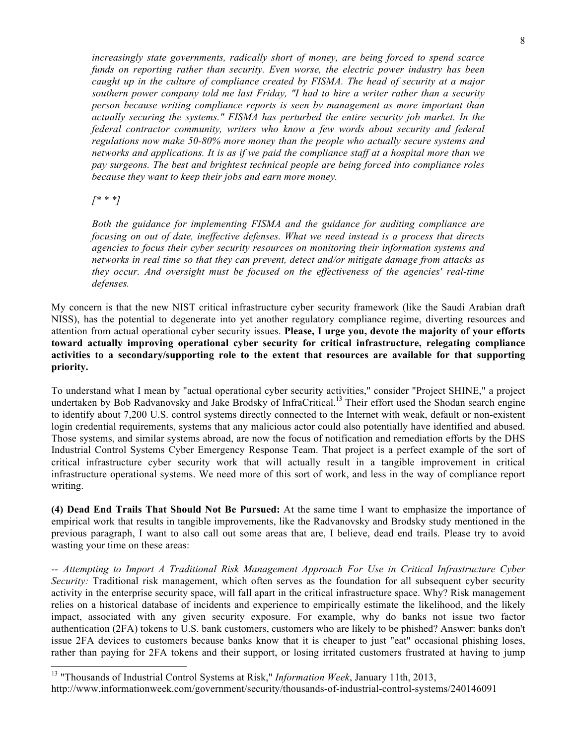*increasingly state governments, radically short of money, are being forced to spend scarce*  funds on reporting rather than security. Even worse, the electric power industry has been  *caught up in the culture of compliance created by FISMA. The head of security at a major southern power company told me last Friday, "I had to hire a writer rather than a security person because writing compliance reports is seen by management as more important than actually securing the systems." FISMA has perturbed the entire security job market. In the*  federal contractor community, writers who know a few words about security and federal  *regulations now make 50-80% more money than the people who actually secure systems and networks and applications. It is as if we paid the compliance staff at a hospital more than we pay surgeons. The best and brightest technical people are being forced into compliance roles because they want to keep their jobs and earn more money.* 

## *[\* \* \*]*

 $\overline{a}$ 

 *Both the guidance for implementing FISMA and the guidance for auditing compliance are focusing on out of date, ineffective defenses. What we need instead is a process that directs agencies to focus their cyber security resources on monitoring their information systems and networks in real time so that they can prevent, detect and/or mitigate damage from attacks as they occur. And oversight must be focused on the effectiveness of the agencies' real-time defenses.* 

 My concern is that the new NIST critical infrastructure cyber security framework (like the Saudi Arabian draft NISS), has the potential to degenerate into yet another regulatory compliance regime, diverting resources and attention from actual operational cyber security issues. **Please, I urge you, devote the majority of your efforts toward actually improving operational cyber security for critical infrastructure, relegating compliance activities to a secondary/supporting role to the extent that resources are available for that supporting priority.** 

 To understand what I mean by "actual operational cyber security activities," consider "Project SHINE," a project undertaken by Bob Radvanovsky and Jake Brodsky of InfraCritical.<sup>13</sup> Their effort used the Shodan search engine to identify about 7,200 U.S. control systems directly connected to the Internet with weak, default or non-existent login credential requirements, systems that any malicious actor could also potentially have identified and abused. Those systems, and similar systems abroad, are now the focus of notification and remediation efforts by the DHS Industrial Control Systems Cyber Emergency Response Team. That project is a perfect example of the sort of critical infrastructure cyber security work that will actually result in a tangible improvement in critical infrastructure operational systems. We need more of this sort of work, and less in the way of compliance report writing.

 **(4) Dead End Trails That Should Not Be Pursued:** At the same time I want to emphasize the importance of empirical work that results in tangible improvements, like the Radvanovsky and Brodsky study mentioned in the previous paragraph, I want to also call out some areas that are, I believe, dead end trails. Please try to avoid wasting your time on these areas:

 -- *Attempting to Import A Traditional Risk Management Approach For Use in Critical Infrastructure Cyber Security:* Traditional risk management, which often serves as the foundation for all subsequent cyber security activity in the enterprise security space, will fall apart in the critical infrastructure space. Why? Risk management relies on a historical database of incidents and experience to empirically estimate the likelihood, and the likely impact, associated with any given security exposure. For example, why do banks not issue two factor authentication (2FA) tokens to U.S. bank customers, customers who are likely to be phished? Answer: banks don't issue 2FA devices to customers because banks know that it is cheaper to just "eat" occasional phishing loses, rather than paying for 2FA tokens and their support, or losing irritated customers frustrated at having to jump

 13 "Thousands of Industrial Control Systems at Risk," *Information Week*, January 11th, 2013, http://www.informationweek.com/government/security/thousands-of-industrial-control-systems/240146091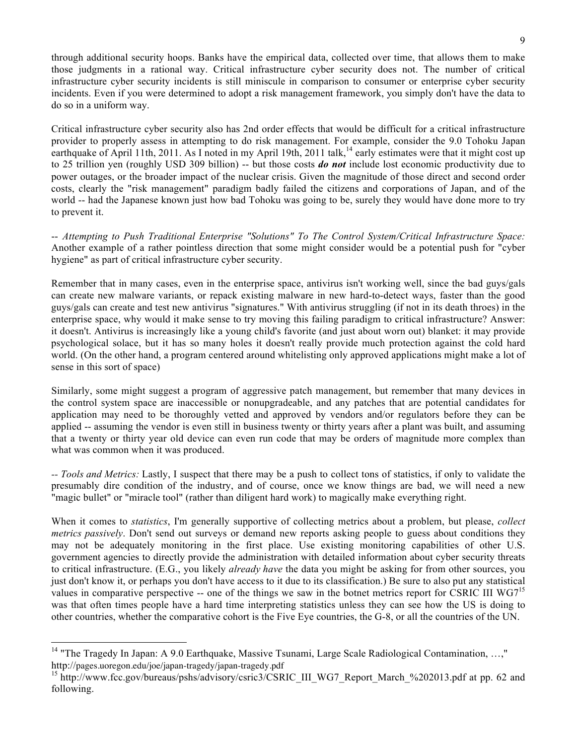through additional security hoops. Banks have the empirical data, collected over time, that allows them to make those judgments in a rational way. Critical infrastructure cyber security does not. The number of critical infrastructure cyber security incidents is still miniscule in comparison to consumer or enterprise cyber security incidents. Even if you were determined to adopt a risk management framework, you simply don't have the data to do so in a uniform way.

 Critical infrastructure cyber security also has 2nd order effects that would be difficult for a critical infrastructure provider to properly assess in attempting to do risk management. For example, consider the 9.0 Tohoku Japan earthquake of April 11th, 2011. As I noted in my April 19th, 2011 talk,<sup>14</sup> early estimates were that it might cost up to 25 trillion yen (roughly USD 309 billion) -- but those costs *do not* include lost economic productivity due to power outages, or the broader impact of the nuclear crisis. Given the magnitude of those direct and second order costs, clearly the "risk management" paradigm badly failed the citizens and corporations of Japan, and of the world -- had the Japanese known just how bad Tohoku was going to be, surely they would have done more to try to prevent it.

 -- *Attempting to Push Traditional Enterprise "Solutions" To The Control System/Critical Infrastructure Space:*  Another example of a rather pointless direction that some might consider would be a potential push for "cyber hygiene" as part of critical infrastructure cyber security.

 Remember that in many cases, even in the enterprise space, antivirus isn't working well, since the bad guys/gals can create new malware variants, or repack existing malware in new hard-to-detect ways, faster than the good guys/gals can create and test new antivirus "signatures." With antivirus struggling (if not in its death throes) in the enterprise space, why would it make sense to try moving this failing paradigm to critical infrastructure? Answer: it doesn't. Antivirus is increasingly like a young child's favorite (and just about worn out) blanket: it may provide psychological solace, but it has so many holes it doesn't really provide much protection against the cold hard world. (On the other hand, a program centered around whitelisting only approved applications might make a lot of sense in this sort of space)

 Similarly, some might suggest a program of aggressive patch management, but remember that many devices in the control system space are inaccessible or nonupgradeable, and any patches that are potential candidates for application may need to be thoroughly vetted and approved by vendors and/or regulators before they can be applied -- assuming the vendor is even still in business twenty or thirty years after a plant was built, and assuming that a twenty or thirty year old device can even run code that may be orders of magnitude more complex than what was common when it was produced.

 *-- Tools and Metrics:* Lastly, I suspect that there may be a push to collect tons of statistics, if only to validate the presumably dire condition of the industry, and of course, once we know things are bad, we will need a new "magic bullet" or "miracle tool" (rather than diligent hard work) to magically make everything right.

 When it comes to *statistics*, I'm generally supportive of collecting metrics about a problem, but please, *collect metrics passively*. Don't send out surveys or demand new reports asking people to guess about conditions they may not be adequately monitoring in the first place. Use existing monitoring capabilities of other U.S. government agencies to directly provide the administration with detailed information about cyber security threats to critical infrastructure. (E.G., you likely *already have* the data you might be asking for from other sources, you just don't know it, or perhaps you don't have access to it due to its classification.) Be sure to also put any statistical values in comparative perspective -- one of the things we saw in the botnet metrics report for CSRIC III WG7<sup>15</sup> was that often times people have a hard time interpreting statistics unless they can see how the US is doing to other countries, whether the comparative cohort is the Five Eye countries, the G-8, or all the countries of the UN.

<sup>&</sup>lt;sup>14</sup> "The Tragedy In Japan: A 9.0 Earthquake, Massive Tsunami, Large Scale Radiological Contamination, ...," http://pages.uoregon.edu/joe/japan-tragedy/japan-tragedy.pdf

<sup>&</sup>lt;sup>15</sup> http://www.fcc.gov/bureaus/pshs/advisory/csric3/CSRIC\_III\_WG7\_Report\_March\_%202013.pdf at pp. 62 and following.